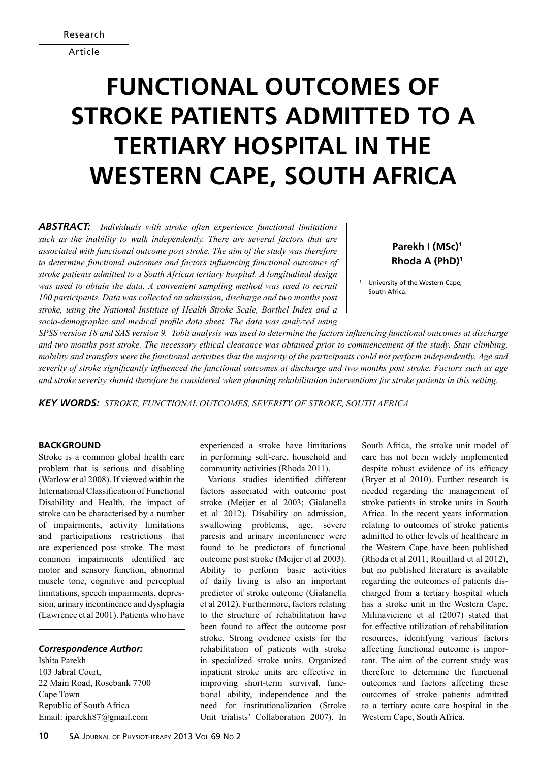Article

# **Functional Outcomes of Stroke Patients Admitted to a Tertiary Hospital in the Western Cape, South Africa**

*Abstract: Individuals with stroke often experience functional limitations such as the inability to walk independently. There are several factors that are associated with functional outcome post stroke. The aim of the study was therefore to determine functional outcomes and factors influencing functional outcomes of stroke patients admitted to a South African tertiary hospital. A longitudinal design was used to obtain the data. A convenient sampling method was used to recruit 100 participants. Data was collected on admission, discharge and two months post stroke, using the National Institute of Health Stroke Scale, Barthel Index and a socio-demographic and medical profile data sheet. The data was analyzed using* 

## **Parekh I (MSc)1 Rhoda A (PhD)1**

University of the Western Cape, South Africa.

*SPSS version 18 and SAS version 9. Tobit analysis was used to determine the factors influencing functional outcomes at discharge and two months post stroke. The necessary ethical clearance was obtained prior to commencement of the study. Stair climbing, mobility and transfers were the functional activities that the majority of the participants could not perform independently. Age and severity of stroke significantly influenced the functional outcomes at discharge and two months post stroke. Factors such as age and stroke severity should therefore be considered when planning rehabilitation interventions for stroke patients in this setting.* 

*Key words: Stroke, Functional outcomes, Severity of stroke, South Africa*

#### **BACKGROUND**

Stroke is a common global health care problem that is serious and disabling (Warlow et al 2008). If viewed within the International Classification of Functional Disability and Health, the impact of stroke can be characterised by a number of impairments, activity limitations and participations restrictions that are experienced post stroke. The most common impairments identified are motor and sensory function, abnormal muscle tone, cognitive and perceptual limitations, speech impairments, depression, urinary incontinence and dysphagia (Lawrence et al 2001). Patients who have

#### *Correspondence Author:*

Ishita Parekh 103 Jabral Court, 22 Main Road, Rosebank 7700 Cape Town Republic of South Africa Email: iparekh87@gmail.com

experienced a stroke have limitations in performing self-care, household and community activities (Rhoda 2011).

Various studies identified different factors associated with outcome post stroke (Meijer et al 2003; Gialanella et al 2012). Disability on admission, swallowing problems, age, severe paresis and urinary incontinence were found to be predictors of functional outcome post stroke (Meijer et al 2003). Ability to perform basic activities of daily living is also an important predictor of stroke outcome (Gialanella et al 2012). Furthermore, factors relating to the structure of rehabilitation have been found to affect the outcome post stroke. Strong evidence exists for the rehabilitation of patients with stroke in specialized stroke units. Organized inpatient stroke units are effective in improving short-term survival, functional ability, independence and the need for institutionalization (Stroke Unit trialists' Collaboration 2007). In South Africa, the stroke unit model of care has not been widely implemented despite robust evidence of its efficacy (Bryer et al 2010). Further research is needed regarding the management of stroke patients in stroke units in South Africa. In the recent years information relating to outcomes of stroke patients admitted to other levels of healthcare in the Western Cape have been published (Rhoda et al 2011; Rouillard et al 2012), but no published literature is available regarding the outcomes of patients discharged from a tertiary hospital which has a stroke unit in the Western Cape. Milinaviciene et al (2007) stated that for effective utilization of rehabilitation resources, identifying various factors affecting functional outcome is important. The aim of the current study was therefore to determine the functional outcomes and factors affecting these outcomes of stroke patients admitted to a tertiary acute care hospital in the Western Cape, South Africa.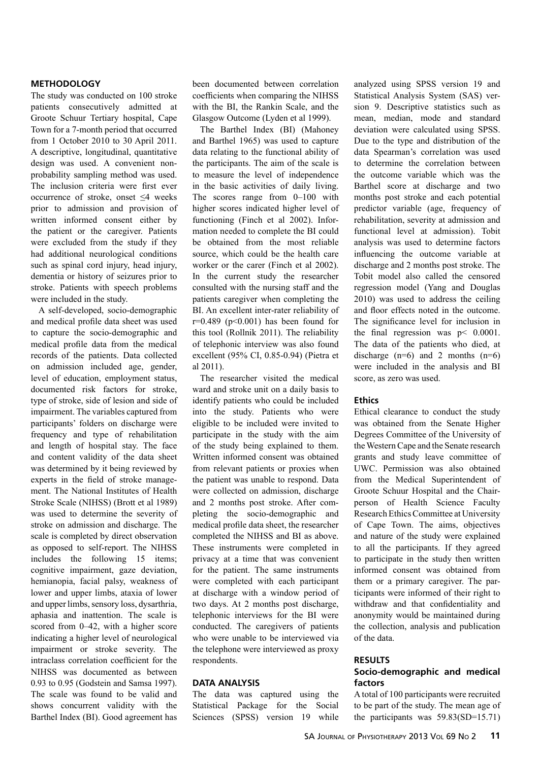### **Methodology**

The study was conducted on 100 stroke patients consecutively admitted at Groote Schuur Tertiary hospital, Cape Town for a 7-month period that occurred from 1 October 2010 to 30 April 2011. A descriptive, longitudinal, quantitative design was used. A convenient nonprobability sampling method was used. The inclusion criteria were first ever occurrence of stroke, onset ≤4 weeks prior to admission and provision of written informed consent either by the patient or the caregiver. Patients were excluded from the study if they had additional neurological conditions such as spinal cord injury, head injury, dementia or history of seizures prior to stroke. Patients with speech problems were included in the study.

A self-developed, socio-demographic and medical profile data sheet was used to capture the socio-demographic and medical profile data from the medical records of the patients. Data collected on admission included age, gender, level of education, employment status, documented risk factors for stroke, type of stroke, side of lesion and side of impairment. The variables captured from participants' folders on discharge were frequency and type of rehabilitation and length of hospital stay. The face and content validity of the data sheet was determined by it being reviewed by experts in the field of stroke management. The National Institutes of Health Stroke Scale (NIHSS) (Brott et al 1989) was used to determine the severity of stroke on admission and discharge. The scale is completed by direct observation as opposed to self-report. The NIHSS includes the following 15 items; cognitive impairment, gaze deviation, hemianopia, facial palsy, weakness of lower and upper limbs, ataxia of lower and upper limbs, sensory loss, dysarthria, aphasia and inattention. The scale is scored from 0–42, with a higher score indicating a higher level of neurological impairment or stroke severity. The intraclass correlation coefficient for the NIHSS was documented as between 0.93 to 0.95 (Godstein and Samsa 1997). The scale was found to be valid and shows concurrent validity with the Barthel Index (BI). Good agreement has

been documented between correlation coefficients when comparing the NIHSS with the BI, the Rankin Scale, and the Glasgow Outcome (Lyden et al 1999).

The Barthel Index (BI) (Mahoney and Barthel 1965) was used to capture data relating to the functional ability of the participants. The aim of the scale is to measure the level of independence in the basic activities of daily living. The scores range from 0–100 with higher scores indicated higher level of functioning (Finch et al 2002). Information needed to complete the BI could be obtained from the most reliable source, which could be the health care worker or the carer (Finch et al 2002). In the current study the researcher consulted with the nursing staff and the patients caregiver when completing the BI. An excellent inter-rater reliability of  $r=0.489$  ( $p<0.001$ ) has been found for this tool (Rollnik 2011). The reliability of telephonic interview was also found excellent (95% CI, 0.85-0.94) (Pietra et al 2011).

The researcher visited the medical ward and stroke unit on a daily basis to identify patients who could be included into the study. Patients who were eligible to be included were invited to participate in the study with the aim of the study being explained to them. Written informed consent was obtained from relevant patients or proxies when the patient was unable to respond. Data were collected on admission, discharge and 2 months post stroke. After completing the socio-demographic and medical profile data sheet, the researcher completed the NIHSS and BI as above. These instruments were completed in privacy at a time that was convenient for the patient. The same instruments were completed with each participant at discharge with a window period of two days. At 2 months post discharge, telephonic interviews for the BI were conducted. The caregivers of patients who were unable to be interviewed via the telephone were interviewed as proxy respondents.

#### **Data analysis**

The data was captured using the Statistical Package for the Social Sciences (SPSS) version 19 while analyzed using SPSS version 19 and Statistical Analysis System (SAS) version 9. Descriptive statistics such as mean, median, mode and standard deviation were calculated using SPSS. Due to the type and distribution of the data Spearman's correlation was used to determine the correlation between the outcome variable which was the Barthel score at discharge and two months post stroke and each potential predictor variable (age, frequency of rehabilitation, severity at admission and functional level at admission). Tobit analysis was used to determine factors influencing the outcome variable at discharge and 2 months post stroke. The Tobit model also called the censored regression model (Yang and Douglas 2010) was used to address the ceiling and floor effects noted in the outcome. The significance level for inclusion in the final regression was p< 0.0001. The data of the patients who died, at discharge  $(n=6)$  and 2 months  $(n=6)$ were included in the analysis and BI score, as zero was used.

#### **Ethics**

Ethical clearance to conduct the study was obtained from the Senate Higher Degrees Committee of the University of the Western Cape and the Senate research grants and study leave committee of UWC. Permission was also obtained from the Medical Superintendent of Groote Schuur Hospital and the Chairperson of Health Science Faculty Research Ethics Committee at University of Cape Town. The aims, objectives and nature of the study were explained to all the participants. If they agreed to participate in the study then written informed consent was obtained from them or a primary caregiver. The participants were informed of their right to withdraw and that confidentiality and anonymity would be maintained during the collection, analysis and publication of the data.

#### **Results Socio-demographic and medical factors**

A total of 100 participants were recruited to be part of the study. The mean age of the participants was 59.83(SD=15.71)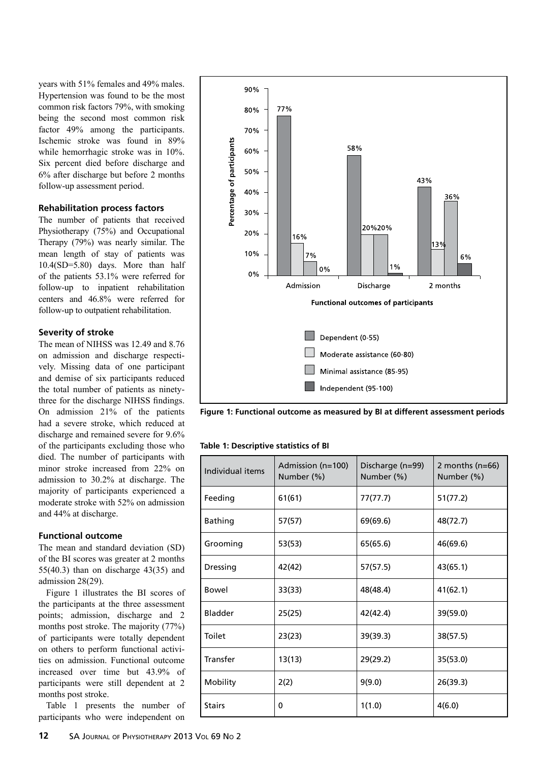years with 51% females and 49% males. Hypertension was found to be the most common risk factors 79%, with smoking being the second most common risk factor 49% among the participants. Ischemic stroke was found in 89% while hemorrhagic stroke was in 10%. Six percent died before discharge and 6% after discharge but before 2 months follow-up assessment period.

## **Rehabilitation process factors**

The number of patients that received Physiotherapy (75%) and Occupational Therapy (79%) was nearly similar. The mean length of stay of patients was 10.4(SD=5.80) days. More than half of the patients 53.1% were referred for follow-up to inpatient rehabilitation centers and 46.8% were referred for follow-up to outpatient rehabilitation.

#### **Severity of stroke**

The mean of NIHSS was 12.49 and 8.76 on admission and discharge respectively. Missing data of one participant and demise of six participants reduced the total number of patients as ninetythree for the discharge NIHSS findings. On admission 21% of the patients had a severe stroke, which reduced at discharge and remained severe for 9.6% of the participants excluding those who died. The number of participants with minor stroke increased from 22% on admission to 30.2% at discharge. The majority of participants experienced a moderate stroke with 52% on admission and 44% at discharge.

#### **Functional outcome**

The mean and standard deviation (SD) of the BI scores was greater at 2 months 55(40.3) than on discharge 43(35) and admission 28(29).

Figure 1 illustrates the BI scores of the participants at the three assessment points; admission, discharge and 2 months post stroke. The majority (77%) of participants were totally dependent on others to perform functional activities on admission. Functional outcome increased over time but 43.9% of participants were still dependent at 2 months post stroke.

Table 1 presents the number of participants who were independent on



**Figure 1: Functional outcome as measured by BI at different assessment periods**

#### **Table 1: Descriptive statistics of BI**

| Individual items | Admission (n=100)<br>Number (%) | Discharge (n=99)<br>Number (%) | 2 months ( $n=66$ )<br>Number (%) |
|------------------|---------------------------------|--------------------------------|-----------------------------------|
| Feeding          | 61(61)                          | 77(77.7)                       | 51(77.2)                          |
| <b>Bathing</b>   | 57(57)                          | 69(69.6)                       | 48(72.7)                          |
| Grooming         | 53(53)                          | 65(65.6)                       | 46(69.6)                          |
| Dressing         | 42(42)                          | 57(57.5)                       | 43(65.1)                          |
| Bowel            | 33(33)                          | 48(48.4)                       | 41(62.1)                          |
| Bladder          | 25(25)                          | 42(42.4)                       | 39(59.0)                          |
| Toilet           | 23(23)                          | 39(39.3)                       | 38(57.5)                          |
| Transfer         | 13(13)                          | 29(29.2)                       | 35(53.0)                          |
| Mobility         | 2(2)                            | 9(9.0)                         | 26(39.3)                          |
| <b>Stairs</b>    | 0                               | 1(1.0)                         | 4(6.0)                            |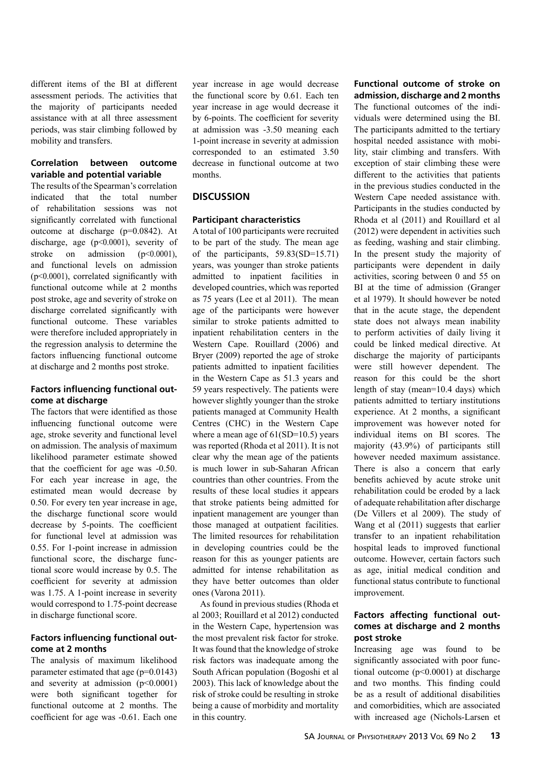different items of the BI at different assessment periods. The activities that the majority of participants needed assistance with at all three assessment periods, was stair climbing followed by mobility and transfers.

## **Correlation between outcome variable and potential variable**

The results of the Spearman's correlation indicated that the total number of rehabilitation sessions was not significantly correlated with functional outcome at discharge (p=0.0842). At discharge, age (p<0.0001), severity of stroke on admission (p<0.0001). and functional levels on admission (p<0.0001), correlated significantly with functional outcome while at 2 months post stroke, age and severity of stroke on discharge correlated significantly with functional outcome. These variables were therefore included appropriately in the regression analysis to determine the factors influencing functional outcome at discharge and 2 months post stroke.

#### **Factors influencing functional outcome at discharge**

The factors that were identified as those influencing functional outcome were age, stroke severity and functional level on admission. The analysis of maximum likelihood parameter estimate showed that the coefficient for age was -0.50. For each year increase in age, the estimated mean would decrease by 0.50. For every ten year increase in age, the discharge functional score would decrease by 5-points. The coefficient for functional level at admission was 0.55. For 1-point increase in admission functional score, the discharge functional score would increase by 0.5. The coefficient for severity at admission was 1.75. A 1-point increase in severity would correspond to 1.75-point decrease in discharge functional score.

## **Factors influencing functional outcome at 2 months**

The analysis of maximum likelihood parameter estimated that age (p=0.0143) and severity at admission  $(p<0.0001)$ were both significant together for functional outcome at 2 months. The coefficient for age was -0.61. Each one

year increase in age would decrease the functional score by 0.61. Each ten year increase in age would decrease it by 6-points. The coefficient for severity at admission was -3.50 meaning each 1-point increase in severity at admission corresponded to an estimated 3.50 decrease in functional outcome at two months.

## **Discussion**

## **Participant characteristics**

A total of 100 participants were recruited to be part of the study. The mean age of the participants, 59.83(SD=15.71) years, was younger than stroke patients admitted to inpatient facilities in developed countries, which was reported as 75 years (Lee et al 2011). The mean age of the participants were however similar to stroke patients admitted to inpatient rehabilitation centers in the Western Cape. Rouillard (2006) and Bryer (2009) reported the age of stroke patients admitted to inpatient facilities in the Western Cape as 51.3 years and 59 years respectively. The patients were however slightly younger than the stroke patients managed at Community Health Centres (CHC) in the Western Cape where a mean age of  $61(SD=10.5)$  years was reported (Rhoda et al 2011). It is not clear why the mean age of the patients is much lower in sub-Saharan African countries than other countries. From the results of these local studies it appears that stroke patients being admitted for inpatient management are younger than those managed at outpatient facilities. The limited resources for rehabilitation in developing countries could be the reason for this as younger patients are admitted for intense rehabilitation as they have better outcomes than older ones (Varona 2011).

As found in previous studies (Rhoda et al 2003; Rouillard et al 2012) conducted in the Western Cape, hypertension was the most prevalent risk factor for stroke. It was found that the knowledge of stroke risk factors was inadequate among the South African population (Bogoshi et al 2003). This lack of knowledge about the risk of stroke could be resulting in stroke being a cause of morbidity and mortality in this country.

**Functional outcome of stroke on admission, discharge and 2 months** The functional outcomes of the individuals were determined using the BI. The participants admitted to the tertiary hospital needed assistance with mobility, stair climbing and transfers. With exception of stair climbing these were different to the activities that patients in the previous studies conducted in the Western Cape needed assistance with. Participants in the studies conducted by Rhoda et al (2011) and Rouillard et al (2012) were dependent in activities such as feeding, washing and stair climbing. In the present study the majority of participants were dependent in daily activities, scoring between 0 and 55 on BI at the time of admission (Granger et al 1979). It should however be noted that in the acute stage, the dependent state does not always mean inability to perform activities of daily living it could be linked medical directive. At discharge the majority of participants were still however dependent. The reason for this could be the short length of stay (mean=10.4 days) which patients admitted to tertiary institutions experience. At 2 months, a significant improvement was however noted for individual items on BI scores. The majority (43.9%) of participants still however needed maximum assistance. There is also a concern that early benefits achieved by acute stroke unit rehabilitation could be eroded by a lack of adequate rehabilitation after discharge (De Villers et al 2009). The study of Wang et al (2011) suggests that earlier transfer to an inpatient rehabilitation hospital leads to improved functional outcome. However, certain factors such as age, initial medical condition and functional status contribute to functional improvement.

## **Factors affecting functional outcomes at discharge and 2 months post stroke**

Increasing age was found to be significantly associated with poor functional outcome  $(p<0.0001)$  at discharge and two months. This finding could be as a result of additional disabilities and comorbidities, which are associated with increased age (Nichols-Larsen et